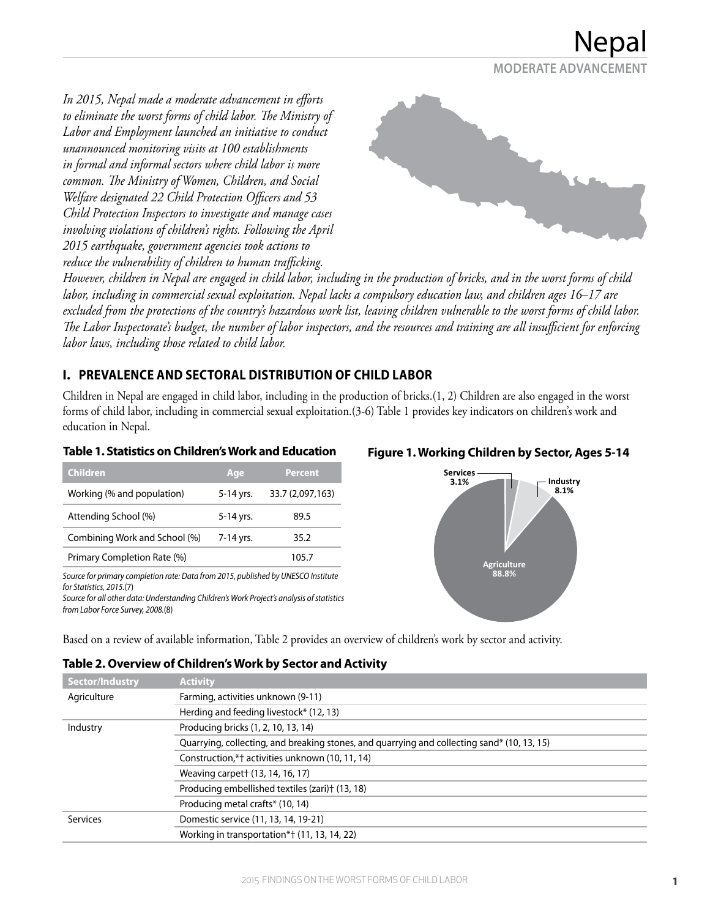

*In 2015, Nepal made a moderate advancement in efforts to eliminate the worst forms of child labor. The Ministry of Labor and Employment launched an initiative to conduct unannounced monitoring visits at 100 establishments in formal and informal sectors where child labor is more common. The Ministry of Women, Children, and Social Welfare designated 22 Child Protection Officers and 53 Child Protection Inspectors to investigate and manage cases involving violations of children's rights. Following the April 2015 earthquake, government agencies took actions to reduce the vulnerability of children to human trafficking.* 



*However, children in Nepal are engaged in child labor, including in the production of bricks, and in the worst forms of child labor, including in commercial sexual exploitation. Nepal lacks a compulsory education law, and children ages 16–17 are excluded from the protections of the country's hazardous work list, leaving children vulnerable to the worst forms of child labor. The Labor Inspectorate's budget, the number of labor inspectors, and the resources and training are all insufficient for enforcing labor laws, including those related to child labor.*

## **I. PREVALENCE AND SECTORAL DISTRIBUTION OF CHILD LABOR**

Children in Nepal are engaged in child labor, including in the production of bricks.(1, 2) Children are also engaged in the worst forms of child labor, including in commercial sexual exploitation.(3-6) Table 1 provides key indicators on children's work and education in Nepal.

#### **Table 1. Statistics on Children's Work and Education**

| <b>Children</b>               | Age       | <b>Percent</b>   |
|-------------------------------|-----------|------------------|
| Working (% and population)    | 5-14 yrs. | 33.7 (2,097,163) |
| Attending School (%)          | 5-14 yrs. | 89.5             |
| Combining Work and School (%) | 7-14 yrs. | 35.2             |
| Primary Completion Rate (%)   |           | 105.7            |

*Source for primary completion rate: Data from 2015, published by UNESCO Institute for Statistics, 2015.*(7)

*Source for all other data: Understanding Children's Work Project's analysis of statistics from Labor Force Survey, 2008.*(8)

#### **Figure 1. Working Children by Sector, Ages 5-14**



Based on a review of available information, Table 2 provides an overview of children's work by sector and activity.

| Sector/Industry | <b>Activity</b>                                                                             |
|-----------------|---------------------------------------------------------------------------------------------|
| Agriculture     | Farming, activities unknown (9-11)                                                          |
|                 | Herding and feeding livestock* (12, 13)                                                     |
| Industry        | Producing bricks (1, 2, 10, 13, 14)                                                         |
|                 | Quarrying, collecting, and breaking stones, and quarrying and collecting sand* (10, 13, 15) |
|                 | Construction,*† activities unknown (10, 11, 14)                                             |
|                 | Weaving carpet + (13, 14, 16, 17)                                                           |
|                 | Producing embellished textiles (zari)† (13, 18)                                             |
|                 | Producing metal crafts* (10, 14)                                                            |
| <b>Services</b> | Domestic service (11, 13, 14, 19-21)                                                        |
|                 | Working in transportation*† (11, 13, 14, 22)                                                |

#### **Table 2. Overview of Children's Work by Sector and Activity**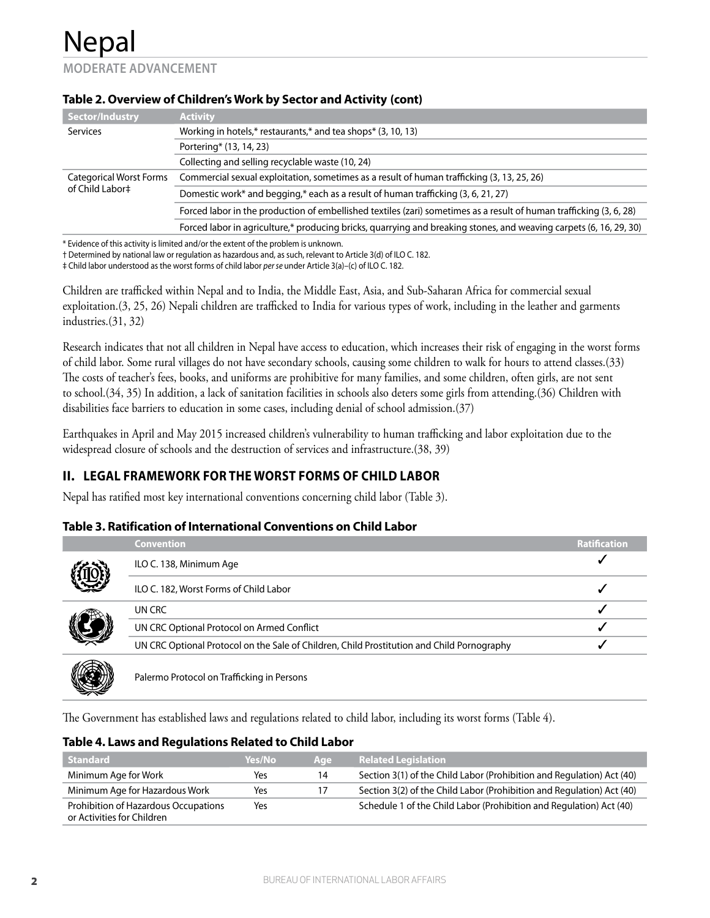**MODERATE ADVANCEMENT**

| Sector/Industry                                   | <b>Activity</b>                                                                                                     |
|---------------------------------------------------|---------------------------------------------------------------------------------------------------------------------|
| Services                                          | Working in hotels,* restaurants,* and tea shops* (3, 10, 13)                                                        |
|                                                   | Portering* (13, 14, 23)                                                                                             |
|                                                   | Collecting and selling recyclable waste (10, 24)                                                                    |
| <b>Categorical Worst Forms</b><br>of Child Labor‡ | Commercial sexual exploitation, sometimes as a result of human trafficking (3, 13, 25, 26)                          |
|                                                   | Domestic work* and begging,* each as a result of human trafficking (3, 6, 21, 27)                                   |
|                                                   | Forced labor in the production of embellished textiles (zari) sometimes as a result of human trafficking (3, 6, 28) |
|                                                   | Forced labor in agriculture,* producing bricks, quarrying and breaking stones, and weaving carpets (6, 16, 29, 30)  |
|                                                   |                                                                                                                     |

#### **Table 2. Overview of Children's Work by Sector and Activity (cont)**

\* Evidence of this activity is limited and/or the extent of the problem is unknown.

† Determined by national law or regulation as hazardous and, as such, relevant to Article 3(d) of ILO C. 182.

‡ Child labor understood as the worst forms of child labor *per se* under Article 3(a)–(c) of ILO C. 182.

Children are trafficked within Nepal and to India, the Middle East, Asia, and Sub-Saharan Africa for commercial sexual exploitation.(3, 25, 26) Nepali children are trafficked to India for various types of work, including in the leather and garments industries.(31, 32)

Research indicates that not all children in Nepal have access to education, which increases their risk of engaging in the worst forms of child labor. Some rural villages do not have secondary schools, causing some children to walk for hours to attend classes.(33) The costs of teacher's fees, books, and uniforms are prohibitive for many families, and some children, often girls, are not sent to school.(34, 35) In addition, a lack of sanitation facilities in schools also deters some girls from attending.(36) Children with disabilities face barriers to education in some cases, including denial of school admission.(37)

Earthquakes in April and May 2015 increased children's vulnerability to human trafficking and labor exploitation due to the widespread closure of schools and the destruction of services and infrastructure.(38, 39)

## **II. LEGAL FRAMEWORK FOR THE WORST FORMS OF CHILD LABOR**

Nepal has ratified most key international conventions concerning child labor (Table 3).

#### **Table 3. Ratification of International Conventions on Child Labor**

| <b>Convention</b>                                                                          | <b>Ratification</b> |
|--------------------------------------------------------------------------------------------|---------------------|
| ILO C. 138, Minimum Age                                                                    |                     |
| ILO C. 182, Worst Forms of Child Labor                                                     |                     |
| UN CRC                                                                                     |                     |
| UN CRC Optional Protocol on Armed Conflict                                                 |                     |
| UN CRC Optional Protocol on the Sale of Children, Child Prostitution and Child Pornography |                     |
|                                                                                            |                     |



Palermo Protocol on Trafficking in Persons

The Government has established laws and regulations related to child labor, including its worst forms (Table 4).

#### **Table 4. Laws and Regulations Related to Child Labor**

| <b>Standard</b>                                                    | Yes/No | Age | <b>Related Legislation</b>                                            |
|--------------------------------------------------------------------|--------|-----|-----------------------------------------------------------------------|
| Minimum Age for Work                                               | Yes    | 14  | Section 3(1) of the Child Labor (Prohibition and Regulation) Act (40) |
| Minimum Age for Hazardous Work                                     | Yes    |     | Section 3(2) of the Child Labor (Prohibition and Regulation) Act (40) |
| Prohibition of Hazardous Occupations<br>or Activities for Children | Yes    |     | Schedule 1 of the Child Labor (Prohibition and Regulation) Act (40)   |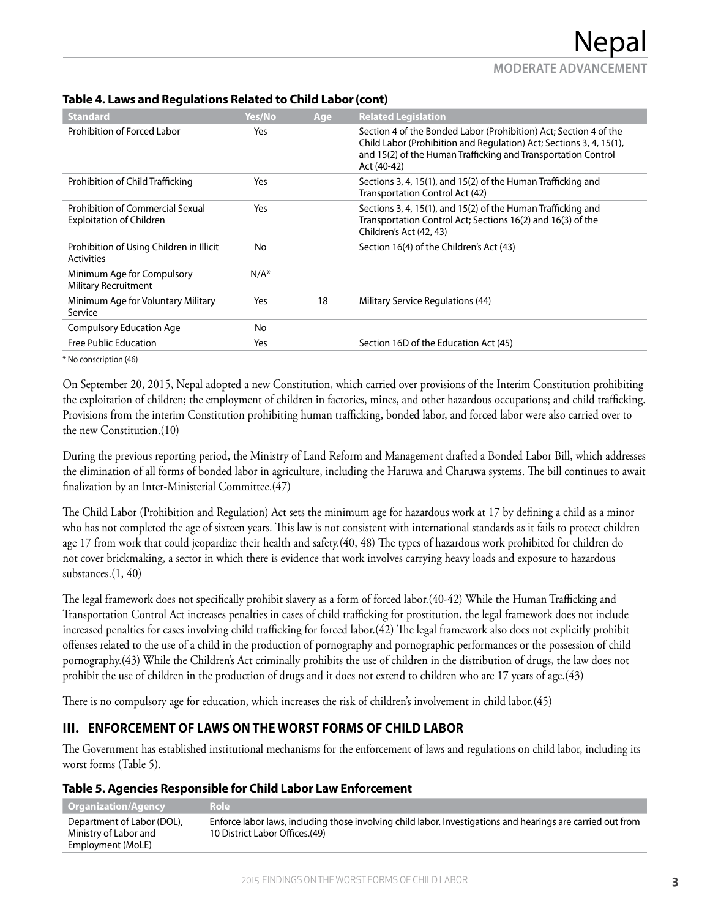| <b>Standard</b>                                                     | Yes/No  | Age | <b>Related Legislation</b>                                                                                                                                                                                               |
|---------------------------------------------------------------------|---------|-----|--------------------------------------------------------------------------------------------------------------------------------------------------------------------------------------------------------------------------|
| Prohibition of Forced Labor                                         | Yes     |     | Section 4 of the Bonded Labor (Prohibition) Act; Section 4 of the<br>Child Labor (Prohibition and Regulation) Act; Sections 3, 4, 15(1),<br>and 15(2) of the Human Trafficking and Transportation Control<br>Act (40-42) |
| Prohibition of Child Trafficking                                    | Yes     |     | Sections 3, 4, 15(1), and 15(2) of the Human Trafficking and<br>Transportation Control Act (42)                                                                                                                          |
| Prohibition of Commercial Sexual<br><b>Exploitation of Children</b> | Yes     |     | Sections 3, 4, 15(1), and 15(2) of the Human Trafficking and<br>Transportation Control Act; Sections 16(2) and 16(3) of the<br>Children's Act (42, 43)                                                                   |
| Prohibition of Using Children in Illicit<br><b>Activities</b>       | No      |     | Section 16(4) of the Children's Act (43)                                                                                                                                                                                 |
| Minimum Age for Compulsory<br><b>Military Recruitment</b>           | $N/A^*$ |     |                                                                                                                                                                                                                          |
| Minimum Age for Voluntary Military<br>Service                       | Yes     | 18  | Military Service Regulations (44)                                                                                                                                                                                        |
| <b>Compulsory Education Age</b>                                     | No      |     |                                                                                                                                                                                                                          |
| Free Public Education                                               | Yes     |     | Section 16D of the Education Act (45)                                                                                                                                                                                    |

#### **Table 4. Laws and Regulations Related to Child Labor (cont)**

\* No conscription (46)

On September 20, 2015, Nepal adopted a new Constitution, which carried over provisions of the Interim Constitution prohibiting the exploitation of children; the employment of children in factories, mines, and other hazardous occupations; and child trafficking. Provisions from the interim Constitution prohibiting human trafficking, bonded labor, and forced labor were also carried over to the new Constitution.(10)

During the previous reporting period, the Ministry of Land Reform and Management drafted a Bonded Labor Bill, which addresses the elimination of all forms of bonded labor in agriculture, including the Haruwa and Charuwa systems. The bill continues to await finalization by an Inter-Ministerial Committee.(47)

The Child Labor (Prohibition and Regulation) Act sets the minimum age for hazardous work at 17 by defining a child as a minor who has not completed the age of sixteen years. This law is not consistent with international standards as it fails to protect children age 17 from work that could jeopardize their health and safety.(40, 48) The types of hazardous work prohibited for children do not cover brickmaking, a sector in which there is evidence that work involves carrying heavy loads and exposure to hazardous substances.(1, 40)

The legal framework does not specifically prohibit slavery as a form of forced labor.(40-42) While the Human Trafficking and Transportation Control Act increases penalties in cases of child trafficking for prostitution, the legal framework does not include increased penalties for cases involving child trafficking for forced labor.(42) The legal framework also does not explicitly prohibit offenses related to the use of a child in the production of pornography and pornographic performances or the possession of child pornography.(43) While the Children's Act criminally prohibits the use of children in the distribution of drugs, the law does not prohibit the use of children in the production of drugs and it does not extend to children who are 17 years of age.(43)

There is no compulsory age for education, which increases the risk of children's involvement in child labor.(45)

## **III. ENFORCEMENT OF LAWS ON THE WORST FORMS OF CHILD LABOR**

The Government has established institutional mechanisms for the enforcement of laws and regulations on child labor, including its worst forms (Table 5).

|  | Table 5. Agencies Responsible for Child Labor Law Enforcement |
|--|---------------------------------------------------------------|
|  |                                                               |

| <b>Organization/Agency</b>                                               | Role                                                                                                                                          |
|--------------------------------------------------------------------------|-----------------------------------------------------------------------------------------------------------------------------------------------|
| Department of Labor (DOL),<br>Ministry of Labor and<br>Employment (MoLE) | Enforce labor laws, including those involving child labor. Investigations and hearings are carried out from<br>10 District Labor Offices.(49) |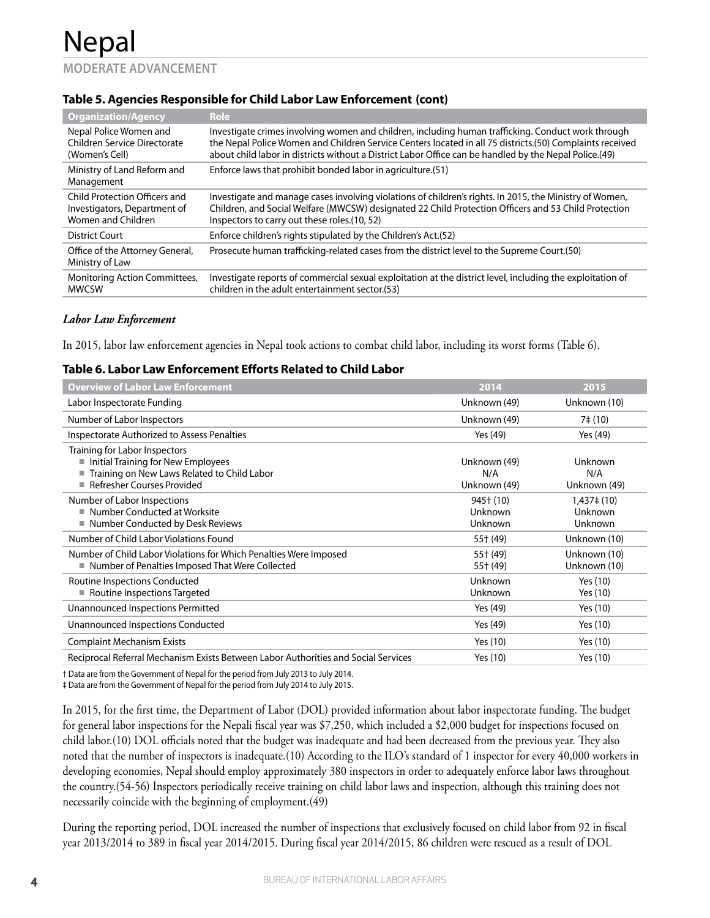Nepal **MODERATE ADVANCEMENT**

### **Table 5. Agencies Responsible for Child Labor Law Enforcement (cont)**

| <b>Organization/Agency</b>                                                          | <b>Role</b>                                                                                                                                                                                                                                                                                                              |
|-------------------------------------------------------------------------------------|--------------------------------------------------------------------------------------------------------------------------------------------------------------------------------------------------------------------------------------------------------------------------------------------------------------------------|
| Nepal Police Women and<br>Children Service Directorate<br>(Women's Cell)            | Investigate crimes involving women and children, including human trafficking. Conduct work through<br>the Nepal Police Women and Children Service Centers located in all 75 districts.(50) Complaints received<br>about child labor in districts without a District Labor Office can be handled by the Nepal Police.(49) |
| Ministry of Land Reform and<br>Management                                           | Enforce laws that prohibit bonded labor in agriculture. (51)                                                                                                                                                                                                                                                             |
| Child Protection Officers and<br>Investigators, Department of<br>Women and Children | Investigate and manage cases involving violations of children's rights. In 2015, the Ministry of Women,<br>Children, and Social Welfare (MWCSW) designated 22 Child Protection Officers and 53 Child Protection<br>Inspectors to carry out these roles.(10, 52)                                                          |
| District Court                                                                      | Enforce children's rights stipulated by the Children's Act.(52)                                                                                                                                                                                                                                                          |
| Office of the Attorney General,<br>Ministry of Law                                  | Prosecute human trafficking-related cases from the district level to the Supreme Court. (50)                                                                                                                                                                                                                             |
| <b>Monitoring Action Committees,</b><br><b>MWCSW</b>                                | Investigate reports of commercial sexual exploitation at the district level, including the exploitation of<br>children in the adult entertainment sector.(53)                                                                                                                                                            |

#### *Labor Law Enforcement*

In 2015, labor law enforcement agencies in Nepal took actions to combat child labor, including its worst forms (Table 6).

#### **Table 6. Labor Law Enforcement Efforts Related to Child Labor**

| <b>Overview of Labor Law Enforcement</b>                                                                                                           | 2014                                | 2015                                 |
|----------------------------------------------------------------------------------------------------------------------------------------------------|-------------------------------------|--------------------------------------|
| Labor Inspectorate Funding                                                                                                                         | Unknown (49)                        | Unknown (10)                         |
| Number of Labor Inspectors                                                                                                                         | Unknown (49)                        | 7‡ (10)                              |
| Inspectorate Authorized to Assess Penalties                                                                                                        | Yes (49)                            | Yes (49)                             |
| Training for Labor Inspectors<br>Initial Training for New Employees<br>Training on New Laws Related to Child Labor<br>■ Refresher Courses Provided | Unknown (49)<br>N/A<br>Unknown (49) | Unknown<br>N/A<br>Unknown (49)       |
| Number of Labor Inspections<br>Number Conducted at Worksite<br>ш<br>■ Number Conducted by Desk Reviews                                             | 945† (10)<br>Unknown<br>Unknown     | $1,437\pm(10)$<br>Unknown<br>Unknown |
| Number of Child Labor Violations Found                                                                                                             | 55† (49)                            | Unknown (10)                         |
| Number of Child Labor Violations for Which Penalties Were Imposed<br>■ Number of Penalties Imposed That Were Collected                             | 55† (49)<br>55† (49)                | Unknown (10)<br>Unknown (10)         |
| Routine Inspections Conducted<br>Routine Inspections Targeted                                                                                      | Unknown<br>Unknown                  | Yes (10)<br>Yes (10)                 |
| Unannounced Inspections Permitted                                                                                                                  | Yes (49)                            | Yes (10)                             |
| Unannounced Inspections Conducted                                                                                                                  | Yes (49)                            | Yes (10)                             |
| <b>Complaint Mechanism Exists</b>                                                                                                                  | Yes (10)                            | Yes (10)                             |
| Reciprocal Referral Mechanism Exists Between Labor Authorities and Social Services                                                                 | Yes (10)                            | Yes (10)                             |

† Data are from the Government of Nepal for the period from July 2013 to July 2014.

‡ Data are from the Government of Nepal for the period from July 2014 to July 2015.

In 2015, for the first time, the Department of Labor (DOL) provided information about labor inspectorate funding. The budget for general labor inspections for the Nepali fiscal year was \$7,250, which included a \$2,000 budget for inspections focused on child labor.(10) DOL officials noted that the budget was inadequate and had been decreased from the previous year. They also noted that the number of inspectors is inadequate.(10) According to the ILO's standard of 1 inspector for every 40,000 workers in developing economies, Nepal should employ approximately 380 inspectors in order to adequately enforce labor laws throughout the country.(54-56) Inspectors periodically receive training on child labor laws and inspection, although this training does not necessarily coincide with the beginning of employment.(49)

During the reporting period, DOL increased the number of inspections that exclusively focused on child labor from 92 in fiscal year 2013/2014 to 389 in fiscal year 2014/2015. During fiscal year 2014/2015, 86 children were rescued as a result of DOL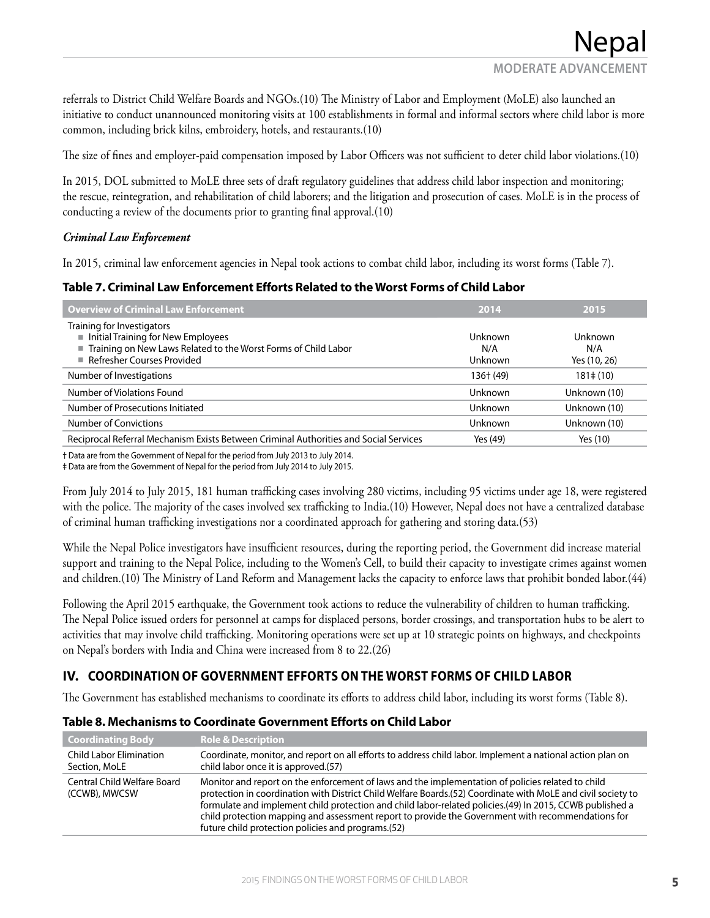Nepal **MODERATE ADVANCEMENT**

referrals to District Child Welfare Boards and NGOs.(10) The Ministry of Labor and Employment (MoLE) also launched an initiative to conduct unannounced monitoring visits at 100 establishments in formal and informal sectors where child labor is more common, including brick kilns, embroidery, hotels, and restaurants.(10)

The size of fines and employer-paid compensation imposed by Labor Officers was not sufficient to deter child labor violations.(10)

In 2015, DOL submitted to MoLE three sets of draft regulatory guidelines that address child labor inspection and monitoring; the rescue, reintegration, and rehabilitation of child laborers; and the litigation and prosecution of cases. MoLE is in the process of conducting a review of the documents prior to granting final approval.(10)

#### *Criminal Law Enforcement*

In 2015, criminal law enforcement agencies in Nepal took actions to combat child labor, including its worst forms (Table 7).

#### **Table 7. Criminal Law Enforcement Efforts Related to the Worst Forms of Child Labor**

| <b>Overview of Criminal Law Enforcement</b>                                                                                                                        | 2014                      | 2015                                  |
|--------------------------------------------------------------------------------------------------------------------------------------------------------------------|---------------------------|---------------------------------------|
| Training for Investigators<br>Initial Training for New Employees<br>■ Training on New Laws Related to the Worst Forms of Child Labor<br>Refresher Courses Provided | Unknown<br>N/A<br>Unknown | <b>Unknown</b><br>N/A<br>Yes (10, 26) |
| Number of Investigations                                                                                                                                           | 136† (49)                 | $181 \pm (10)$                        |
| Number of Violations Found                                                                                                                                         | Unknown                   | Unknown (10)                          |
| Number of Prosecutions Initiated                                                                                                                                   | Unknown                   | Unknown (10)                          |
| Number of Convictions                                                                                                                                              | Unknown                   | Unknown (10)                          |
| Reciprocal Referral Mechanism Exists Between Criminal Authorities and Social Services                                                                              | Yes (49)                  | Yes (10)                              |

† Data are from the Government of Nepal for the period from July 2013 to July 2014.

‡ Data are from the Government of Nepal for the period from July 2014 to July 2015.

From July 2014 to July 2015, 181 human trafficking cases involving 280 victims, including 95 victims under age 18, were registered with the police. The majority of the cases involved sex trafficking to India.(10) However, Nepal does not have a centralized database of criminal human trafficking investigations nor a coordinated approach for gathering and storing data.(53)

While the Nepal Police investigators have insufficient resources, during the reporting period, the Government did increase material support and training to the Nepal Police, including to the Women's Cell, to build their capacity to investigate crimes against women and children.(10) The Ministry of Land Reform and Management lacks the capacity to enforce laws that prohibit bonded labor.(44)

Following the April 2015 earthquake, the Government took actions to reduce the vulnerability of children to human trafficking. The Nepal Police issued orders for personnel at camps for displaced persons, border crossings, and transportation hubs to be alert to activities that may involve child trafficking. Monitoring operations were set up at 10 strategic points on highways, and checkpoints on Nepal's borders with India and China were increased from 8 to 22.(26)

## **IV. COORDINATION OF GOVERNMENT EFFORTS ON THE WORST FORMS OF CHILD LABOR**

The Government has established mechanisms to coordinate its efforts to address child labor, including its worst forms (Table 8).

| <b>Coordinating Body</b>                     | <b>Role &amp; Description</b>                                                                                                                                                                                                                                                                                                                                                                                                                                                            |
|----------------------------------------------|------------------------------------------------------------------------------------------------------------------------------------------------------------------------------------------------------------------------------------------------------------------------------------------------------------------------------------------------------------------------------------------------------------------------------------------------------------------------------------------|
| Child Labor Elimination<br>Section, MoLE     | Coordinate, monitor, and report on all efforts to address child labor. Implement a national action plan on<br>child labor once it is approved.(57)                                                                                                                                                                                                                                                                                                                                       |
| Central Child Welfare Board<br>(CCWB), MWCSW | Monitor and report on the enforcement of laws and the implementation of policies related to child<br>protection in coordination with District Child Welfare Boards.(52) Coordinate with MoLE and civil society to<br>formulate and implement child protection and child labor-related policies.(49) In 2015, CCWB published a<br>child protection mapping and assessment report to provide the Government with recommendations for<br>future child protection policies and programs.(52) |

#### **Table 8. Mechanisms to Coordinate Government Efforts on Child Labor**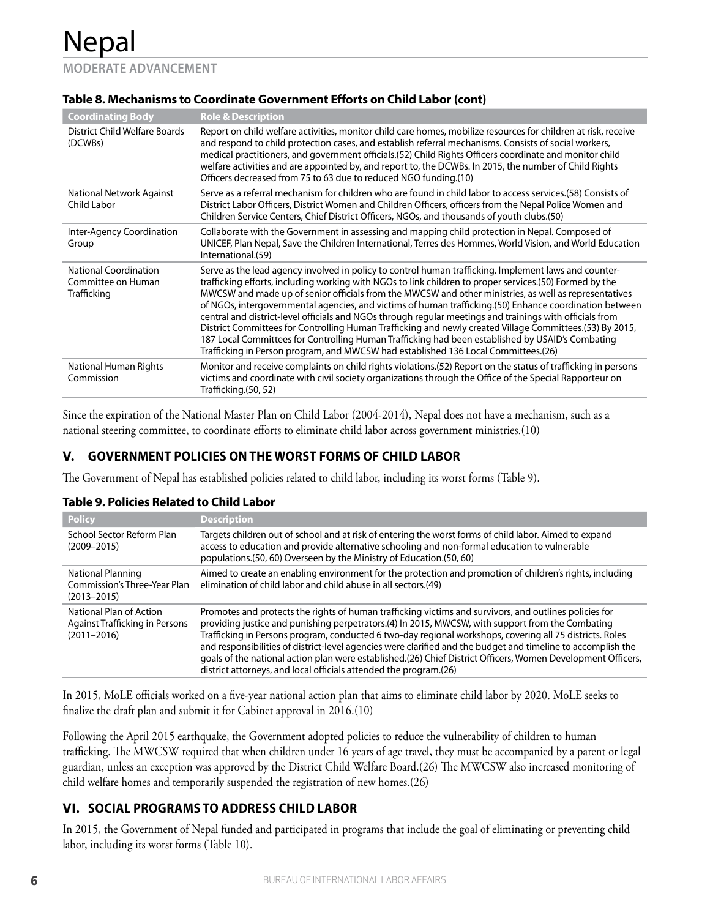Nepal **MODERATE ADVANCEMENT**

| <b>Coordinating Body</b>                                                 | <b>Role &amp; Description</b>                                                                                                                                                                                                                                                                                                                                                                                                                                                                                                                                                                                                                                                                                                                                                                                                                           |
|--------------------------------------------------------------------------|---------------------------------------------------------------------------------------------------------------------------------------------------------------------------------------------------------------------------------------------------------------------------------------------------------------------------------------------------------------------------------------------------------------------------------------------------------------------------------------------------------------------------------------------------------------------------------------------------------------------------------------------------------------------------------------------------------------------------------------------------------------------------------------------------------------------------------------------------------|
| District Child Welfare Boards<br>(DCWBs)                                 | Report on child welfare activities, monitor child care homes, mobilize resources for children at risk, receive<br>and respond to child protection cases, and establish referral mechanisms. Consists of social workers,<br>medical practitioners, and government officials.(52) Child Rights Officers coordinate and monitor child<br>welfare activities and are appointed by, and report to, the DCWBs. In 2015, the number of Child Rights<br>Officers decreased from 75 to 63 due to reduced NGO funding.(10)                                                                                                                                                                                                                                                                                                                                        |
| National Network Against<br>Child Labor                                  | Serve as a referral mechanism for children who are found in child labor to access services. (58) Consists of<br>District Labor Officers, District Women and Children Officers, officers from the Nepal Police Women and<br>Children Service Centers, Chief District Officers, NGOs, and thousands of youth clubs.(50)                                                                                                                                                                                                                                                                                                                                                                                                                                                                                                                                   |
| Inter-Agency Coordination<br>Group                                       | Collaborate with the Government in assessing and mapping child protection in Nepal. Composed of<br>UNICEF, Plan Nepal, Save the Children International, Terres des Hommes, World Vision, and World Education<br>International.(59)                                                                                                                                                                                                                                                                                                                                                                                                                                                                                                                                                                                                                      |
| <b>National Coordination</b><br>Committee on Human<br><b>Trafficking</b> | Serve as the lead agency involved in policy to control human trafficking. Implement laws and counter-<br>trafficking efforts, including working with NGOs to link children to proper services.(50) Formed by the<br>MWCSW and made up of senior officials from the MWCSW and other ministries, as well as representatives<br>of NGOs, intergovernmental agencies, and victims of human trafficking. (50) Enhance coordination between<br>central and district-level officials and NGOs through regular meetings and trainings with officials from<br>District Committees for Controlling Human Trafficking and newly created Village Committees.(53) By 2015,<br>187 Local Committees for Controlling Human Trafficking had been established by USAID's Combating<br>Trafficking in Person program, and MWCSW had established 136 Local Committees.(26) |
| National Human Rights<br>Commission                                      | Monitor and receive complaints on child rights violations. (52) Report on the status of trafficking in persons<br>victims and coordinate with civil society organizations through the Office of the Special Rapporteur on<br>Trafficking.(50, 52)                                                                                                                                                                                                                                                                                                                                                                                                                                                                                                                                                                                                       |

Since the expiration of the National Master Plan on Child Labor (2004-2014), Nepal does not have a mechanism, such as a national steering committee, to coordinate efforts to eliminate child labor across government ministries.(10)

## **V. GOVERNMENT POLICIES ON THE WORST FORMS OF CHILD LABOR**

The Government of Nepal has established policies related to child labor, including its worst forms (Table 9).

#### **Table 9. Policies Related to Child Labor**

| <b>Policy</b>                                                                       | <b>Description</b>                                                                                                                                                                                                                                                                                                                                                                                                                                                                                                                                                                                                          |
|-------------------------------------------------------------------------------------|-----------------------------------------------------------------------------------------------------------------------------------------------------------------------------------------------------------------------------------------------------------------------------------------------------------------------------------------------------------------------------------------------------------------------------------------------------------------------------------------------------------------------------------------------------------------------------------------------------------------------------|
| School Sector Reform Plan<br>$(2009 - 2015)$                                        | Targets children out of school and at risk of entering the worst forms of child labor. Aimed to expand<br>access to education and provide alternative schooling and non-formal education to vulnerable<br>populations.(50, 60) Overseen by the Ministry of Education.(50, 60)                                                                                                                                                                                                                                                                                                                                               |
| National Planning<br>Commission's Three-Year Plan<br>$(2013 - 2015)$                | Aimed to create an enabling environment for the protection and promotion of children's rights, including<br>elimination of child labor and child abuse in all sectors.(49)                                                                                                                                                                                                                                                                                                                                                                                                                                                  |
| National Plan of Action<br><b>Against Trafficking in Persons</b><br>$(2011 - 2016)$ | Promotes and protects the rights of human trafficking victims and survivors, and outlines policies for<br>providing justice and punishing perpetrators.(4) In 2015, MWCSW, with support from the Combating<br>Trafficking in Persons program, conducted 6 two-day regional workshops, covering all 75 districts. Roles<br>and responsibilities of district-level agencies were clarified and the budget and timeline to accomplish the<br>goals of the national action plan were established.(26) Chief District Officers, Women Development Officers,<br>district attorneys, and local officials attended the program.(26) |

In 2015, MoLE officials worked on a five-year national action plan that aims to eliminate child labor by 2020. MoLE seeks to finalize the draft plan and submit it for Cabinet approval in 2016.(10)

Following the April 2015 earthquake, the Government adopted policies to reduce the vulnerability of children to human trafficking. The MWCSW required that when children under 16 years of age travel, they must be accompanied by a parent or legal guardian, unless an exception was approved by the District Child Welfare Board.(26) The MWCSW also increased monitoring of child welfare homes and temporarily suspended the registration of new homes.(26)

## **VI. SOCIAL PROGRAMS TO ADDRESS CHILD LABOR**

In 2015, the Government of Nepal funded and participated in programs that include the goal of eliminating or preventing child labor, including its worst forms (Table 10).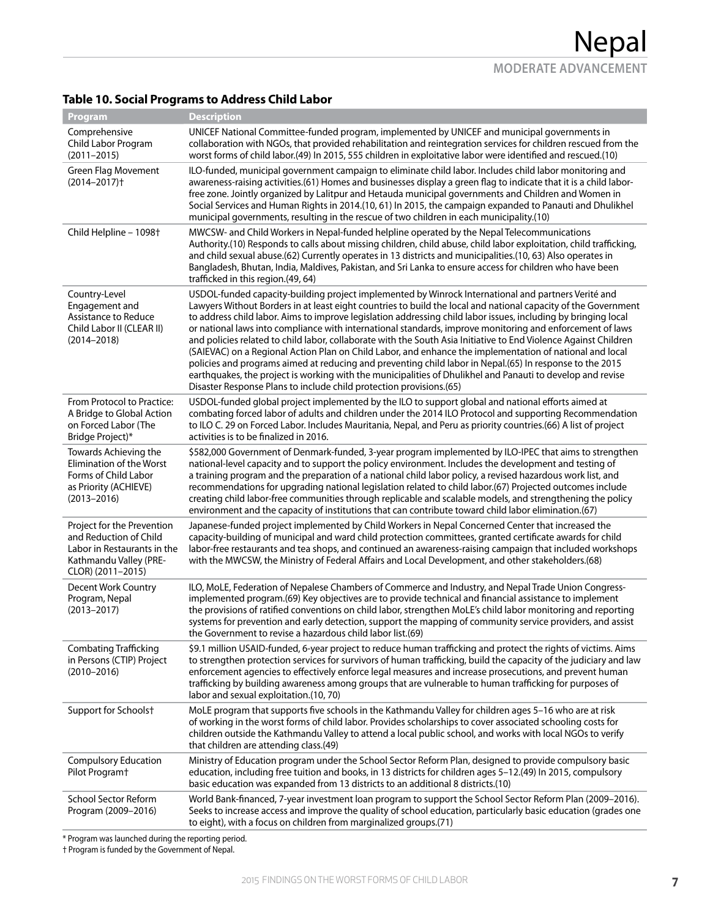## **Table 10. Social Programs to Address Child Labor**

| Program                                                                                                                            | <b>Description</b>                                                                                                                                                                                                                                                                                                                                                                                                                                                                                                                                                                                                                                                                                                                                                                                                                                                                                                                                                                    |
|------------------------------------------------------------------------------------------------------------------------------------|---------------------------------------------------------------------------------------------------------------------------------------------------------------------------------------------------------------------------------------------------------------------------------------------------------------------------------------------------------------------------------------------------------------------------------------------------------------------------------------------------------------------------------------------------------------------------------------------------------------------------------------------------------------------------------------------------------------------------------------------------------------------------------------------------------------------------------------------------------------------------------------------------------------------------------------------------------------------------------------|
| Comprehensive<br>Child Labor Program<br>$(2011 - 2015)$                                                                            | UNICEF National Committee-funded program, implemented by UNICEF and municipal governments in<br>collaboration with NGOs, that provided rehabilitation and reintegration services for children rescued from the<br>worst forms of child labor.(49) In 2015, 555 children in exploitative labor were identified and rescued.(10)                                                                                                                                                                                                                                                                                                                                                                                                                                                                                                                                                                                                                                                        |
| Green Flag Movement<br>$(2014 - 2017)$ <sup>+</sup>                                                                                | ILO-funded, municipal government campaign to eliminate child labor. Includes child labor monitoring and<br>awareness-raising activities.(61) Homes and businesses display a green flag to indicate that it is a child labor-<br>free zone. Jointly organized by Lalitpur and Hetauda municipal governments and Children and Women in<br>Social Services and Human Rights in 2014.(10, 61) In 2015, the campaign expanded to Panauti and Dhulikhel<br>municipal governments, resulting in the rescue of two children in each municipality.(10)                                                                                                                                                                                                                                                                                                                                                                                                                                         |
| Child Helpline - 1098 <sup>+</sup>                                                                                                 | MWCSW- and Child Workers in Nepal-funded helpline operated by the Nepal Telecommunications<br>Authority.(10) Responds to calls about missing children, child abuse, child labor exploitation, child trafficking,<br>and child sexual abuse.(62) Currently operates in 13 districts and municipalities.(10, 63) Also operates in<br>Bangladesh, Bhutan, India, Maldives, Pakistan, and Sri Lanka to ensure access for children who have been<br>trafficked in this region.(49, 64)                                                                                                                                                                                                                                                                                                                                                                                                                                                                                                     |
| Country-Level<br>Engagement and<br><b>Assistance to Reduce</b><br>Child Labor II (CLEAR II)<br>$(2014 - 2018)$                     | USDOL-funded capacity-building project implemented by Winrock International and partners Verité and<br>Lawyers Without Borders in at least eight countries to build the local and national capacity of the Government<br>to address child labor. Aims to improve legislation addressing child labor issues, including by bringing local<br>or national laws into compliance with international standards, improve monitoring and enforcement of laws<br>and policies related to child labor, collaborate with the South Asia Initiative to End Violence Against Children<br>(SAIEVAC) on a Regional Action Plan on Child Labor, and enhance the implementation of national and local<br>policies and programs aimed at reducing and preventing child labor in Nepal.(65) In response to the 2015<br>earthquakes, the project is working with the municipalities of Dhulikhel and Panauti to develop and revise<br>Disaster Response Plans to include child protection provisions.(65) |
| From Protocol to Practice:<br>A Bridge to Global Action<br>on Forced Labor (The<br>Bridge Project)*                                | USDOL-funded global project implemented by the ILO to support global and national efforts aimed at<br>combating forced labor of adults and children under the 2014 ILO Protocol and supporting Recommendation<br>to ILO C. 29 on Forced Labor. Includes Mauritania, Nepal, and Peru as priority countries.(66) A list of project<br>activities is to be finalized in 2016.                                                                                                                                                                                                                                                                                                                                                                                                                                                                                                                                                                                                            |
| Towards Achieving the<br>Elimination of the Worst<br>Forms of Child Labor<br>as Priority (ACHIEVE)<br>$(2013 - 2016)$              | \$582,000 Government of Denmark-funded, 3-year program implemented by ILO-IPEC that aims to strengthen<br>national-level capacity and to support the policy environment. Includes the development and testing of<br>a training program and the preparation of a national child labor policy, a revised hazardous work list, and<br>recommendations for upgrading national legislation related to child labor.(67) Projected outcomes include<br>creating child labor-free communities through replicable and scalable models, and strengthening the policy<br>environment and the capacity of institutions that can contribute toward child labor elimination.(67)                                                                                                                                                                                                                                                                                                                    |
| Project for the Prevention<br>and Reduction of Child<br>Labor in Restaurants in the<br>Kathmandu Valley (PRE-<br>CLOR) (2011-2015) | Japanese-funded project implemented by Child Workers in Nepal Concerned Center that increased the<br>capacity-building of municipal and ward child protection committees, granted certificate awards for child<br>labor-free restaurants and tea shops, and continued an awareness-raising campaign that included workshops<br>with the MWCSW, the Ministry of Federal Affairs and Local Development, and other stakeholders.(68)                                                                                                                                                                                                                                                                                                                                                                                                                                                                                                                                                     |
| Decent Work Country<br>Program, Nepal<br>$(2013 - 2017)$                                                                           | ILO, MoLE, Federation of Nepalese Chambers of Commerce and Industry, and Nepal Trade Union Congress-<br>implemented program.(69) Key objectives are to provide technical and financial assistance to implement<br>the provisions of ratified conventions on child labor, strengthen MoLE's child labor monitoring and reporting<br>systems for prevention and early detection, support the mapping of community service providers, and assist<br>the Government to revise a hazardous child labor list.(69)                                                                                                                                                                                                                                                                                                                                                                                                                                                                           |
| <b>Combating Trafficking</b><br>in Persons (CTIP) Project<br>$(2010 - 2016)$                                                       | \$9.1 million USAID-funded, 6-year project to reduce human trafficking and protect the rights of victims. Aims<br>to strengthen protection services for survivors of human trafficking, build the capacity of the judiciary and law<br>enforcement agencies to effectively enforce legal measures and increase prosecutions, and prevent human<br>trafficking by building awareness among groups that are vulnerable to human trafficking for purposes of<br>labor and sexual exploitation.(10, 70)                                                                                                                                                                                                                                                                                                                                                                                                                                                                                   |
| Support for Schoolst                                                                                                               | MoLE program that supports five schools in the Kathmandu Valley for children ages 5-16 who are at risk<br>of working in the worst forms of child labor. Provides scholarships to cover associated schooling costs for<br>children outside the Kathmandu Valley to attend a local public school, and works with local NGOs to verify<br>that children are attending class.(49)                                                                                                                                                                                                                                                                                                                                                                                                                                                                                                                                                                                                         |
| <b>Compulsory Education</b><br>Pilot Program <sup>+</sup>                                                                          | Ministry of Education program under the School Sector Reform Plan, designed to provide compulsory basic<br>education, including free tuition and books, in 13 districts for children ages 5-12.(49) In 2015, compulsory<br>basic education was expanded from 13 districts to an additional 8 districts.(10)                                                                                                                                                                                                                                                                                                                                                                                                                                                                                                                                                                                                                                                                           |
| School Sector Reform<br>Program (2009-2016)                                                                                        | World Bank-financed, 7-year investment loan program to support the School Sector Reform Plan (2009-2016).<br>Seeks to increase access and improve the quality of school education, particularly basic education (grades one<br>to eight), with a focus on children from marginalized groups.(71)                                                                                                                                                                                                                                                                                                                                                                                                                                                                                                                                                                                                                                                                                      |

\* Program was launched during the reporting period.

† Program is funded by the Government of Nepal.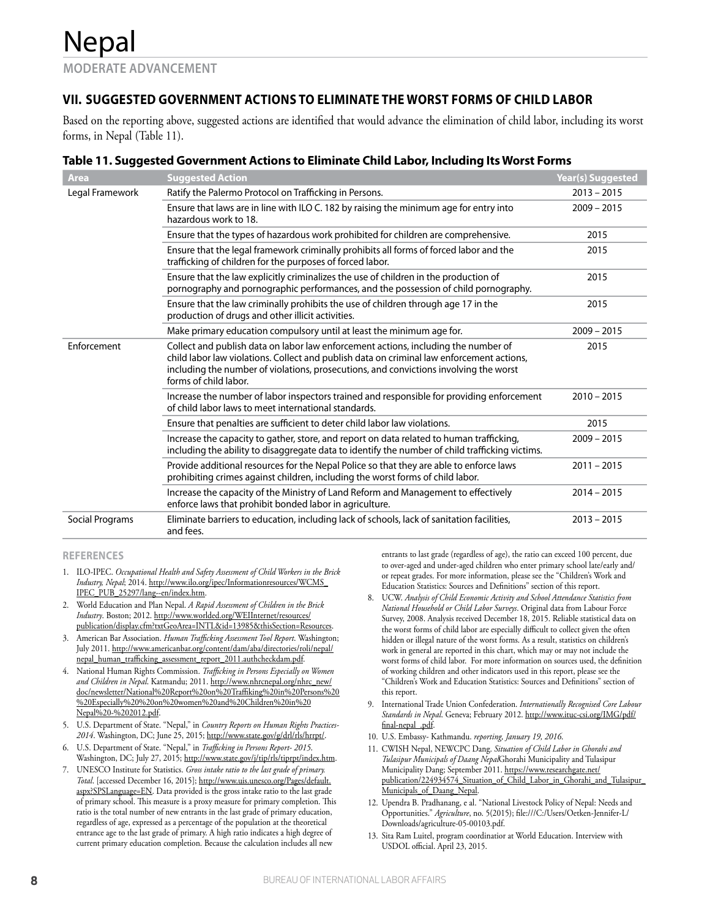## **VII. SUGGESTED GOVERNMENT ACTIONS TO ELIMINATE THE WORST FORMS OF CHILD LABOR**

Based on the reporting above, suggested actions are identified that would advance the elimination of child labor, including its worst forms, in Nepal (Table 11).

#### **Table 11. Suggested Government Actions to Eliminate Child Labor, Including Its Worst Forms**

| <b>Area</b>     | <b>Suggested Action</b>                                                                                                                                                                                                                                                                           | <b>Year(s) Suggested</b> |
|-----------------|---------------------------------------------------------------------------------------------------------------------------------------------------------------------------------------------------------------------------------------------------------------------------------------------------|--------------------------|
| Legal Framework | Ratify the Palermo Protocol on Trafficking in Persons.                                                                                                                                                                                                                                            | $2013 - 2015$            |
|                 | Ensure that laws are in line with ILO C. 182 by raising the minimum age for entry into<br>hazardous work to 18.                                                                                                                                                                                   | $2009 - 2015$            |
|                 | Ensure that the types of hazardous work prohibited for children are comprehensive.                                                                                                                                                                                                                | 2015                     |
|                 | Ensure that the legal framework criminally prohibits all forms of forced labor and the<br>trafficking of children for the purposes of forced labor.                                                                                                                                               | 2015                     |
|                 | Ensure that the law explicitly criminalizes the use of children in the production of<br>pornography and pornographic performances, and the possession of child pornography.                                                                                                                       | 2015                     |
|                 | Ensure that the law criminally prohibits the use of children through age 17 in the<br>production of drugs and other illicit activities.                                                                                                                                                           | 2015                     |
|                 | Make primary education compulsory until at least the minimum age for.                                                                                                                                                                                                                             | $2009 - 2015$            |
| Enforcement     | Collect and publish data on labor law enforcement actions, including the number of<br>child labor law violations. Collect and publish data on criminal law enforcement actions,<br>including the number of violations, prosecutions, and convictions involving the worst<br>forms of child labor. | 2015                     |
|                 | Increase the number of labor inspectors trained and responsible for providing enforcement<br>of child labor laws to meet international standards.                                                                                                                                                 | $2010 - 2015$            |
|                 | Ensure that penalties are sufficient to deter child labor law violations.                                                                                                                                                                                                                         | 2015                     |
|                 | Increase the capacity to gather, store, and report on data related to human trafficking,<br>including the ability to disaggregate data to identify the number of child trafficking victims.                                                                                                       | $2009 - 2015$            |
|                 | Provide additional resources for the Nepal Police so that they are able to enforce laws<br>prohibiting crimes against children, including the worst forms of child labor.                                                                                                                         | $2011 - 2015$            |
|                 | Increase the capacity of the Ministry of Land Reform and Management to effectively<br>enforce laws that prohibit bonded labor in agriculture.                                                                                                                                                     | $2014 - 2015$            |
| Social Programs | Eliminate barriers to education, including lack of schools, lack of sanitation facilities,<br>and fees.                                                                                                                                                                                           | $2013 - 2015$            |

#### **REFERENCES**

- 1. ILO-IPEC. *Occupational Health and Safety Assessment of Child Workers in the Brick Industry, Nepal*; 2014. http://www.ilo.org/ipec/Informationresources/WCMS\_ IPEC\_PUB\_25297/lang--en/index.htm.
- 2. World Education and Plan Nepal. *A Rapid Assessment of Children in the Brick Industry*. Boston; 2012. http://www.worlded.org/WEIInternet/resources/ publication/display.cfm?txtGeoArea=INTL&id=13985&thisSection=Resources.
- 3. American Bar Association. *Human Trafficking Assessment Tool Report*. Washington; July 2011. http://www.americanbar.org/content/dam/aba/directories/roli/nepal/ nepal\_human\_trafficking\_assessment\_report\_2011.authcheckdam.pdf.
- 4. National Human Rights Commission. *Trafficking in Persons Especially on Women and Children in Nepal*. Katmandu; 2011. http://www.nhrcnepal.org/nhrc\_new/ doc/newsletter/National%20Report%20on%20Traffiking%20in%20Persons%20 %20Especially%20%20on%20women%20and%20Children%20in%20 Nepal%20-%202012.pdf.
- 5. U.S. Department of State. "Nepal," in *Country Reports on Human Rights Practices-2014*. Washington, DC; June 25, 2015; http://www.state.gov/g/drl/rls/hrrpt/.
- 6. U.S. Department of State. "Nepal," in *Trafficking in Persons Report- 2015*. Washington, DC; July 27, 2015; http://www.state.gov/j/tip/rls/tiprpt/index.htm.
- 7. UNESCO Institute for Statistics. *Gross intake ratio to the last grade of primary. Total*. [accessed December 16, 2015]; http://www.uis.unesco.org/Pages/default. aspx?SPSLanguage=EN. Data provided is the gross intake ratio to the last grade of primary school. This measure is a proxy measure for primary completion. This ratio is the total number of new entrants in the last grade of primary education, regardless of age, expressed as a percentage of the population at the theoretical entrance age to the last grade of primary. A high ratio indicates a high degree of current primary education completion. Because the calculation includes all new

entrants to last grade (regardless of age), the ratio can exceed 100 percent, due to over-aged and under-aged children who enter primary school late/early and/ or repeat grades. For more information, please see the "Children's Work and Education Statistics: Sources and Definitions" section of this report.

- 8. UCW. *Analysis of Child Economic Activity and School Attendance Statistics from National Household or Child Labor Surveys*. Original data from Labour Force Survey, 2008. Analysis received December 18, 2015. Reliable statistical data on the worst forms of child labor are especially difficult to collect given the often hidden or illegal nature of the worst forms. As a result, statistics on children's work in general are reported in this chart, which may or may not include the worst forms of child labor. For more information on sources used, the definition of working children and other indicators used in this report, please see the "Children's Work and Education Statistics: Sources and Definitions" section of this report.
- 9. International Trade Union Confederation. *Internationally Recognised Core Labour Standards in Nepal*. Geneva; February 2012. http://www.ituc-csi.org/IMG/pdf/ final-nepal\_.pdf.
- 10. U.S. Embassy- Kathmandu. *reporting, January 19, 2016*.
- 11. CWISH Nepal, NEWCPC Dang. *Situation of Child Labor in Ghorahi and Tulasipur Municipals of Daang Nepal*Ghorahi Municipality and Tulasipur Municipality Dang; September 2011. https://www.researchgate.net/ publication/224934574\_Situation\_of\_Child\_Labor\_in\_Ghorahi\_and\_Tulasipur\_ Municipals\_of\_Daang\_Nepal.
- 12. Upendra B. Pradhanang, e al. "National Livestock Policy of Nepal: Needs and Opportunities." *Agriculture*, no. 5(2015); file:///C:/Users/Oetken-Jennifer-L/ Downloads/agriculture-05-00103.pdf.
- 13. Sita Ram Luitel, program coordinatior at World Education. Interview with USDOL official. April 23, 2015.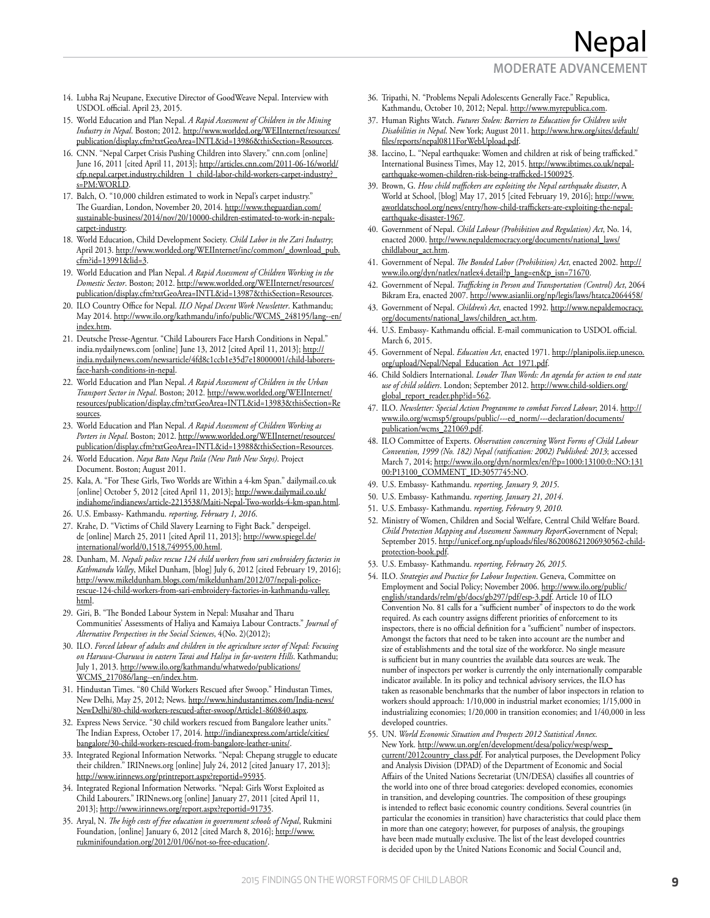## **MODERATE ADVANCEMENT**

Nepal

- 14. Lubha Raj Neupane, Executive Director of GoodWeave Nepal. Interview with USDOL official. April 23, 2015.
- 15. World Education and Plan Nepal. *A Rapid Assessment of Children in the Mining Industry in Nepal*. Boston; 2012. http://www.worlded.org/WEIInternet/resources/ publication/display.cfm?txtGeoArea=INTL&id=13986&thisSection=Resources.
- 16. CNN. "Nepal Carpet Crisis Pushing Children into Slavery." cnn.com [online] June 16, 2011 [cited April 11, 2013]; http://articles.cnn.com/2011-06-16/world/ cfp.nepal.carpet.industry.children\_1\_child-labor-child-workers-carpet-industry?\_ s=PM:WORLD.
- 17. Balch, O. "10,000 children estimated to work in Nepal's carpet industry." The Guardian, London, November 20, 2014. http://www.theguardian.com/ sustainable-business/2014/nov/20/10000-children-estimated-to-work-in-nepalscarpet-industry.
- 18. World Education, Child Development Society. *Child Labor in the Zari Industry*; April 2013. http://www.worlded.org/WEIInternet/inc/common/\_download\_pub. cfm?id=13991&lid=3.
- 19. World Education and Plan Nepal. *A Rapid Assessment of Children Working in the Domestic Sector*. Boston; 2012. http://www.worlded.org/WEIInternet/resources/ publication/display.cfm?txtGeoArea=INTL&id=13987&thisSection=Resources.
- 20. ILO Country Office for Nepal. *ILO Nepal Decent Work Newsletter*. Kathmandu; May 2014. http://www.ilo.org/kathmandu/info/public/WCMS\_248195/lang--en/ index.htm.
- 21. Deutsche Presse-Agentur. "Child Labourers Face Harsh Conditions in Nepal." india.nydailynews.com [online] June 13, 2012 [cited April 11, 2013]; http:// india.nydailynews.com/newsarticle/4fd8c1ccb1e35d7e18000001/child-laborersface-harsh-conditions-in-nepal.
- 22. World Education and Plan Nepal. *A Rapid Assessment of Children in the Urban Transport Sector in Nepal*. Boston; 2012. http://www.worlded.org/WEIInternet/ resources/publication/display.cfm?txtGeoArea=INTL&id=13983&thisSection=Re sources.
- 23. World Education and Plan Nepal. *A Rapid Assessment of Children Working as Porters in Nepal*. Boston; 2012. http://www.worlded.org/WEIInternet/resources/ publication/display.cfm?txtGeoArea=INTL&id=13988&thisSection=Resources.
- 24. World Education. *Naya Bato Naya Paila (New Path New Steps)*. Project Document. Boston; August 2011.
- 25. Kala, A. "For These Girls, Two Worlds are Within a 4-km Span." dailymail.co.uk [online] October 5, 2012 [cited April 11, 2013]; http://www.dailymail.co.uk/ indiahome/indianews/article-2213538/Maiti-Nepal-Two-worlds-4-km-span.html.
- 26. U.S. Embassy- Kathmandu. *reporting, February 1, 2016*.
- 27. Krahe, D. "Victims of Child Slavery Learning to Fight Back." derspeigel. de [online] March 25, 2011 [cited April 11, 2013]; http://www.spiegel.de/ international/world/0,1518,749955,00.html.
- 28. Dunham, M. *Nepali police rescue 124 child workers from sari embroidery factories in Kathmandu Valley*, Mikel Dunham, [blog] July 6, 2012 [cited February 19, 2016]; http://www.mikeldunham.blogs.com/mikeldunham/2012/07/nepali-policerescue-124-child-workers-from-sari-embroidery-factories-in-kathmandu-valley. html.
- 29. Giri, B. "The Bonded Labour System in Nepal: Musahar and Tharu Communities' Assessments of Haliya and Kamaiya Labour Contracts." *Journal of Alternative Perspectives in the Social Sciences*, 4(No. 2)(2012);
- 30. ILO. *Forced labour of adults and children in the agriculture sector of Nepal: Focusing on Haruwa-Charuwa in eastern Tarai and Haliya in far-western Hills*. Kathmandu; July 1, 2013. http://www.ilo.org/kathmandu/whatwedo/publications/ WCMS\_217086/lang--en/index.htm.
- 31. Hindustan Times. "80 Child Workers Rescued after Swoop." Hindustan Times, New Delhi, May 25, 2012; News. http://www.hindustantimes.com/India-news/ NewDelhi/80-child-workers-rescued-after-swoop/Article1-860840.aspx.
- 32. Express News Service. "30 child workers rescued from Bangalore leather units." The Indian Express, October 17, 2014. http://indianexpress.com/article/cities/ bangalore/30-child-workers-rescued-from-bangalore-leather-units/.
- 33. Integrated Regional Information Networks. "Nepal: Chepang struggle to educate their children." IRINnews.org [online] July 24, 2012 [cited January 17, 2013]; http://www.irinnews.org/printreport.aspx?reportid=95935.
- 34. Integrated Regional Information Networks. "Nepal: Girls Worst Exploited as Child Labourers." IRINnews.org [online] January 27, 2011 [cited April 11, 2013]; http://www.irinnews.org/report.aspx?reportid=91735.
- 35. Aryal, N. *The high costs of free education in government schools of Nepal*, Rukmini Foundation, [online] January 6, 2012 [cited March 8, 2016]; http://www. rukminifoundation.org/2012/01/06/not-so-free-education/.
- 36. Tripathi, N. "Problems Nepali Adolescents Generally Face." Republica, Kathmandu, October 10, 2012; Nepal. http://www.myrepublica.com.
- 37. Human Rights Watch. *Futures Stolen: Barriers to Education for Children wiht Disabilities in Nepal*. New York; August 2011. http://www.hrw.org/sites/default/ files/reports/nepal0811ForWebUpload.pdf.
- 38. Iaccino, L. "Nepal earthquake: Women and children at risk of being trafficked." International Business Times, May 12, 2015. http://www.ibtimes.co.uk/nepalearthquake-women-children-risk-being-trafficked-1500925.
- 39. Brown, G. *How child traffickers are exploiting the Nepal earthquake disaster*, A World at School, [blog] May 17, 2015 [cited February 19, 2016]; http://www. aworldatschool.org/news/entry/how-child-traffickers-are-exploiting-the-nepalearthquake-disaster-1967.
- 40. Government of Nepal. *Child Labour (Prohibition and Regulation) Act*, No. 14, enacted 2000. http://www.nepaldemocracy.org/documents/national\_laws/ childlabour\_act.htm.
- 41. Government of Nepal. *The Bonded Labor (Prohibition) Act*, enacted 2002. http:// www.ilo.org/dyn/natlex/natlex4.detail?p\_lang=en&p\_isn=71670.
- 42. Government of Nepal. *Trafficking in Person and Transportation (Control) Act*, 2064 Bikram Era, enacted 2007. http://www.asianlii.org/np/legis/laws/htatca2064458/
- 43. Government of Nepal. *Children's Act*, enacted 1992. http://www.nepaldemocracy. org/documents/national\_laws/children\_act.htm.
- 44. U.S. Embassy- Kathmandu official. E-mail communication to USDOL official. March 6, 2015.
- 45. Government of Nepal. *Education Act*, enacted 1971. http://planipolis.iiep.unesco. org/upload/Nepal/Nepal\_Education\_Act\_1971.pdf.
- 46. Child Soldiers International. *Louder Than Words: An agenda for action to end state use of child soldiers*. London; September 2012. http://www.child-soldiers.org/ global\_report\_reader.php?id=562.
- 47. ILO. Newsletter: Special Action Programme to combat Forced Labour; 2014. http:// www.ilo.org/wcmsp5/groups/public/---ed\_norm/---declaration/documents/ publication/wcms\_221069.pdf.
- 48. ILO Committee of Experts. *Observation concerning Worst Forms of Child Labour Convention, 1999 (No. 182) Nepal (ratification: 2002) Published: 2013*; accessed March 7, 2014; http://www.ilo.org/dyn/normlex/en/f?p=1000:13100:0::NO:131 00:P13100\_COMMENT\_ID:3057745:NO.
- 49. U.S. Embassy- Kathmandu. *reporting, January 9, 2015*.
- 50. U.S. Embassy- Kathmandu. *reporting, January 21, 2014*.
- 51. U.S. Embassy- Kathmandu. *reporting, February 9, 2010*.
- 52. Ministry of Women, Children and Social Welfare, Central Child Welfare Board. *Child Protection Mapping and Assessment Summary Report*Government of Nepal; September 2015. http://unicef.org.np/uploads/files/862008621206930562-childprotection-book.pdf.
- 53. U.S. Embassy- Kathmandu. *reporting, February 26, 2015*.
- 54. ILO. *Strategies and Practice for Labour Inspection*. Geneva, Committee on Employment and Social Policy; November 2006. http://www.ilo.org/public/ english/standards/relm/gb/docs/gb297/pdf/esp-3.pdf. Article 10 of ILO Convention No. 81 calls for a "sufficient number" of inspectors to do the work required. As each country assigns different priorities of enforcement to its inspectors, there is no official definition for a "sufficient" number of inspectors. Amongst the factors that need to be taken into account are the number and size of establishments and the total size of the workforce. No single measure is sufficient but in many countries the available data sources are weak. The number of inspectors per worker is currently the only internationally comparable indicator available. In its policy and technical advisory services, the ILO has taken as reasonable benchmarks that the number of labor inspectors in relation to workers should approach: 1/10,000 in industrial market economies; 1/15,000 in industrializing economies; 1/20,000 in transition economies; and 1/40,000 in less developed countries.
- 55. UN. *World Economic Situation and Prospects 2012 Statistical Annex*. New York. http://www.un.org/en/development/desa/policy/wesp/wesp\_ current/2012country\_class.pdf. For analytical purposes, the Development Policy and Analysis Division (DPAD) of the Department of Economic and Social Affairs of the United Nations Secretariat (UN/DESA) classifies all countries of the world into one of three broad categories: developed economies, economies in transition, and developing countries. The composition of these groupings is intended to reflect basic economic country conditions. Several countries (in particular the economies in transition) have characteristics that could place them in more than one category; however, for purposes of analysis, the groupings have been made mutually exclusive. The list of the least developed countries is decided upon by the United Nations Economic and Social Council and,